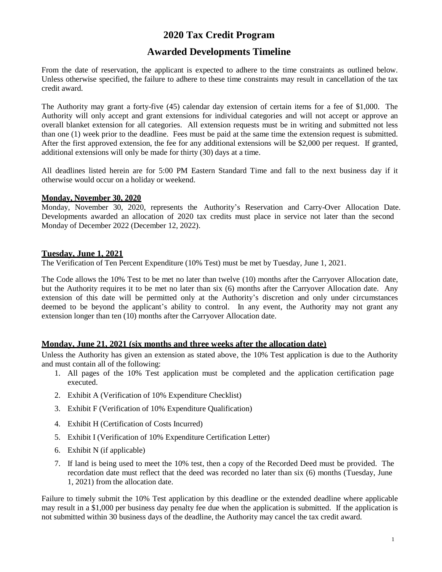# **2020 Tax Credit Program**

## **Awarded Developments Timeline**

From the date of reservation, the applicant is expected to adhere to the time constraints as outlined below. Unless otherwise specified, the failure to adhere to these time constraints may result in cancellation of the tax credit award.

The Authority may grant a forty-five (45) calendar day extension of certain items for a fee of \$1,000. The Authority will only accept and grant extensions for individual categories and will not accept or approve an overall blanket extension for all categories. All extension requests must be in writing and submitted not less than one (1) week prior to the deadline. Fees must be paid at the same time the extension request is submitted. After the first approved extension, the fee for any additional extensions will be \$2,000 per request. If granted, additional extensions will only be made for thirty (30) days at a time.

All deadlines listed herein are for 5:00 PM Eastern Standard Time and fall to the next business day if it otherwise would occur on a holiday or weekend.

### **Monday, November 30, 2020**

Monday, November 30, 2020, represents the Authority's Reservation and Carry-Over Allocation Date. Developments awarded an allocation of 2020 tax credits must place in service not later than the second Monday of December 2022 (December 12, 2022).

### **Tuesday, June 1, 2021**

The Verification of Ten Percent Expenditure (10% Test) must be met by Tuesday, June 1, 2021.

The Code allows the 10% Test to be met no later than twelve (10) months after the Carryover Allocation date, but the Authority requires it to be met no later than six (6) months after the Carryover Allocation date. Any extension of this date will be permitted only at the Authority's discretion and only under circumstances deemed to be beyond the applicant's ability to control. In any event, the Authority may not grant any extension longer than ten (10) months after the Carryover Allocation date.

## **Monday, June 21, 2021 (six months and three weeks after the allocation date)**

Unless the Authority has given an extension as stated above, the 10% Test application is due to the Authority and must contain all of the following:

- 1. All pages of the 10% Test application must be completed and the application certification page executed.
- 2. Exhibit A (Verification of 10% Expenditure Checklist)
- 3. Exhibit F (Verification of 10% Expenditure Qualification)
- 4. Exhibit H (Certification of Costs Incurred)
- 5. Exhibit I (Verification of 10% Expenditure Certification Letter)
- 6. Exhibit N (if applicable)
- 7. If land is being used to meet the 10% test, then a copy of the Recorded Deed must be provided. The recordation date must reflect that the deed was recorded no later than six (6) months (Tuesday, June 1, 2021) from the allocation date.

Failure to timely submit the 10% Test application by this deadline or the extended deadline where applicable may result in a \$1,000 per business day penalty fee due when the application is submitted. If the application is not submitted within 30 business days of the deadline, the Authority may cancel the tax credit award.